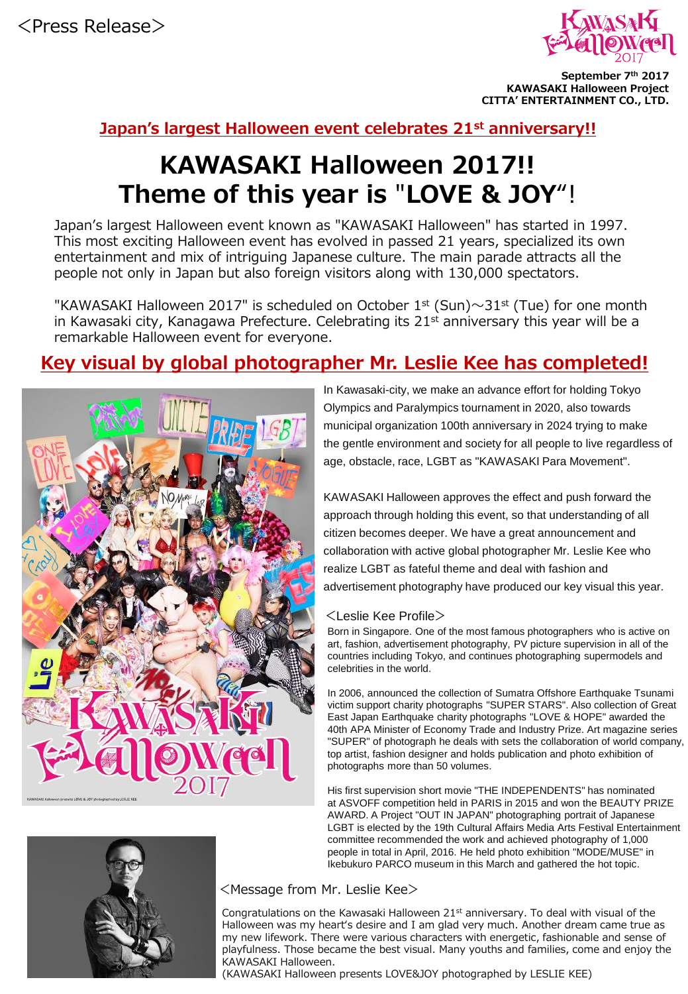

**September 7th 2017 KAWASAKI Halloween Project CITTA' ENTERTAINMENT CO., LTD.** 

### **Japan's largest Halloween event celebrates 21st anniversary!!**

# **KAWASAKI Halloween 2017!! Theme of this year is** "**LOVE & JOY**"!

Japan's largest Halloween event known as "KAWASAKI Halloween″ has started in 1997. This most exciting Halloween event has evolved in passed 21 years, specialized its own entertainment and mix of intriguing Japanese culture. The main parade attracts all the people not only in Japan but also foreign visitors along with 130,000 spectators.

"KAWASAKI Halloween 2017" is scheduled on October  $1^{st}$  (Sun) $\sim$ 31st (Tue) for one month in Kawasaki city, Kanagawa Prefecture. Celebrating its  $21<sup>st</sup>$  anniversary this year will be a remarkable Halloween event for everyone.

### **Key visual by global photographer Mr. Leslie Kee has completed!**



In Kawasaki-city, we make an advance effort for holding Tokyo Olympics and Paralympics tournament in 2020, also towards municipal organization 100th anniversary in 2024 trying to make the gentle environment and society for all people to live regardless of age, obstacle, race, LGBT as "KAWASAKI Para Movement".

KAWASAKI Halloween approves the effect and push forward the approach through holding this event, so that understanding of all citizen becomes deeper. We have a great announcement and collaboration with active global photographer Mr. Leslie Kee who realize LGBT as fateful theme and deal with fashion and advertisement photography have produced our key visual this year.

#### <Leslie Kee Profile>

Born in Singapore. One of the most famous photographers who is active on art, fashion, advertisement photography, PV picture supervision in all of the countries including Tokyo, and continues photographing supermodels and celebrities in the world.

In 2006, announced the collection of Sumatra Offshore Earthquake Tsunami victim support charity photographs "SUPER STARS". Also collection of Great East Japan Earthquake charity photographs "LOVE & HOPE" awarded the 40th APA Minister of Economy Trade and Industry Prize. Art magazine series "SUPER" of photograph he deals with sets the collaboration of world company, top artist, fashion designer and holds publication and photo exhibition of photographs more than 50 volumes.

His first supervision short movie "THE INDEPENDENTS" has nominated at ASVOFF competition held in PARIS in 2015 and won the BEAUTY PRIZE AWARD. A Project "OUT IN JAPAN" photographing portrait of Japanese LGBT is elected by the 19th Cultural Affairs Media Arts Festival Entertainment committee recommended the work and achieved photography of 1,000 people in total in April, 2016. He held photo exhibition "MODE/MUSE" in Ikebukuro PARCO museum in this March and gathered the hot topic.



#### <Message from Mr. Leslie Kee>

Congratulations on the Kawasaki Halloween 21<sup>st</sup> anniversary. To deal with visual of the Halloween was my heart's desire and I am glad very much. Another dream came true as my new lifework. There were various characters with energetic, fashionable and sense of playfulness. Those became the best visual. Many youths and families, come and enjoy the KAWASAKI Halloween.

(KAWASAKI Halloween presents LOVE&JOY photographed by LESLIE KEE)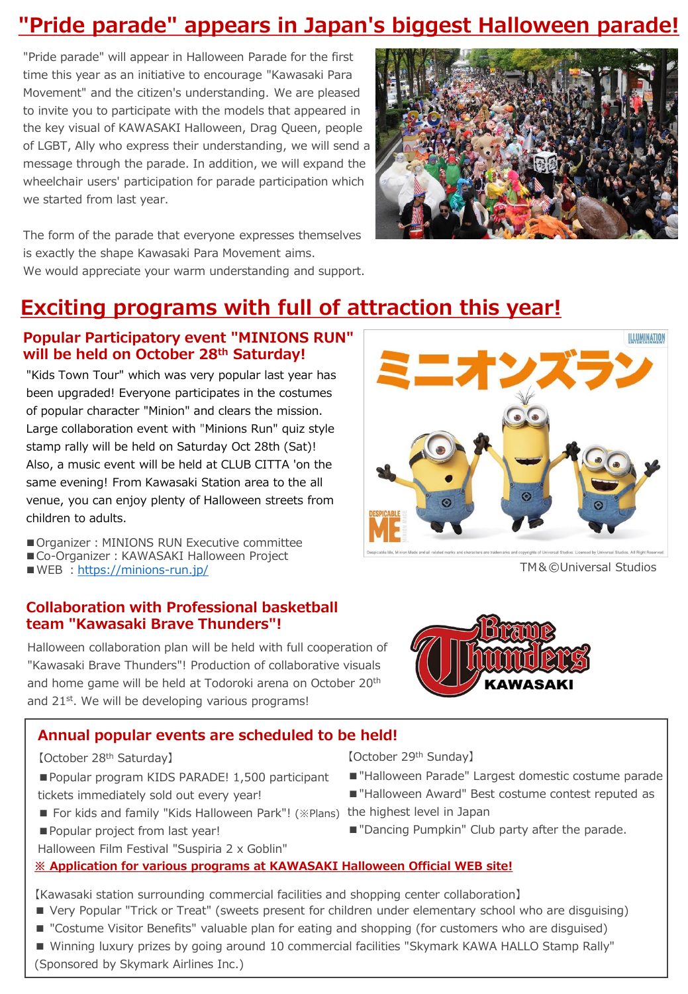## **"Pride parade" appears in Japan's biggest Halloween parade!**

"Pride parade" will appear in Halloween Parade for the first time this year as an initiative to encourage "Kawasaki Para Movement" and the citizen's understanding. We are pleased to invite you to participate with the models that appeared in the key visual of KAWASAKI Halloween, Drag Queen, people of LGBT, Ally who express their understanding, we will send a message through the parade. In addition, we will expand the wheelchair users' participation for parade participation which we started from last year.



The form of the parade that everyone expresses themselves is exactly the shape Kawasaki Para Movement aims. We would appreciate your warm understanding and support.

## **Exciting programs with full of attraction this year!**

### **Popular Participatory event "MINIONS RUN" will be held on October 28th Saturday!**

"Kids Town Tour" which was very popular last year has been upgraded! Everyone participates in the costumes of popular character "Minion" and clears the mission. Large collaboration event with "Minions Run″ quiz style stamp rally will be held on Saturday Oct 28th (Sat)! Also, a music event will be held at CLUB CITTA 'on the same evening! From Kawasaki Station area to the all venue, you can enjoy plenty of Halloween streets from children to adults.

■ Organizer: MINIONS RUN Executive committee

■ Co-Organizer: KAWASAKI Halloween Project

■WEB : <https://minions-run.jp/>

#### **Collaboration with Professional basketball team "Kawasaki Brave Thunders"!**

Halloween collaboration plan will be held with full cooperation of "Kawasaki Brave Thunders"! Production of collaborative visuals and home game will be held at Todoroki arena on October 20<sup>th</sup> and 21<sup>st</sup>. We will be developing various programs!

### **Annual popular events are scheduled to be held!**

【October 28th Saturday】

- Popular program KIDS PARADE! 1,500 participant tickets immediately sold out every year!
- For kids and family "Kids Halloween Park"! (※Plans) the highest level in Japan
- Popular project from last year!
- Halloween Film Festival "Suspiria 2 x Goblin"

### **※ Application for various programs at KAWASAKI Halloween Official WEB site!**

【Kawasaki station surrounding commercial facilities and shopping center collaboration】

- Very Popular "Trick or Treat" (sweets present for children under elementary school who are disguising)
- 



■ Winning luxury prizes by going around 10 commercial facilities "Skymark KAWA HALLO Stamp Rally" (Sponsored by Skymark Airlines Inc.)



TM&©Universal Studios



■ "Halloween Parade" Largest domestic costume parade ■ "Halloween Award" Best costume contest reputed as

■ "Dancing Pumpkin" Club party after the parade.

【October 29th Sunday】